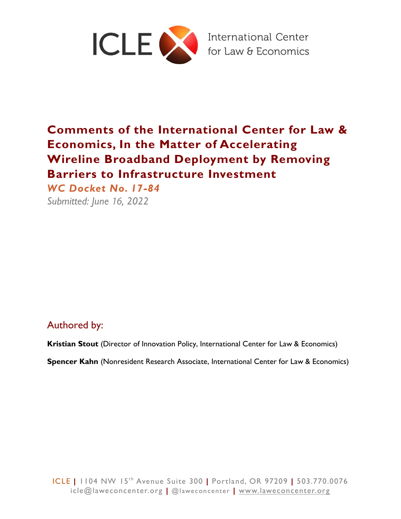

# **Comments of the International Center for Law & Economics, In the Matter of Accelerating Wireline Broadband Deployment by Removing Barriers to Infrastructure Investment**

*WC Docket No. 17-84* 

*Submitted: June* 16*, 2022*

# Authored by:

**Kristian Stout** (Director of Innovation Policy, International Center for Law & Economics)

**Spencer Kahn** (Nonresident Research Associate, International Center for Law & Economics)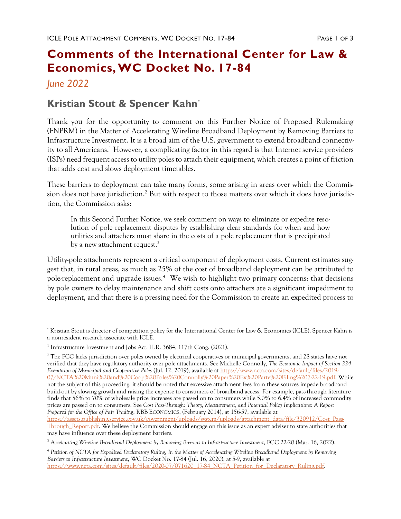# **Comments of the International Center for Law & Economics,WC Docket No. 17-84**

## *June 2022*

## **Kristian Stout & Spencer Kahn\***

Thank you for the opportunity to comment on this Further Notice of Proposed Rulemaking (FNPRM) in the Matter of Accelerating Wireline Broadband Deployment by Removing Barriers to Infrastructure Investment. It is a broad aim of the U.S. government to extend broadband connectivity to all Americans.<sup>1</sup> However, a complicating factor in this regard is that Internet service providers (ISPs) need frequent access to utility poles to attach their equipment, which creates a point of friction that adds cost and slows deployment timetables.

These barriers to deployment can take many forms, some arising in areas over which the Commission does not have jurisdiction. $^2$  But with respect to those matters over which it does have jurisdiction, the Commission asks:

In this Second Further Notice, we seek comment on ways to eliminate or expedite resolution of pole replacement disputes by establishing clear standards for when and how utilities and attachers must share in the costs of a pole replacement that is precipitated by a new attachment request.<sup>3</sup>

Utility-pole attachments represent a critical component of deployment costs. Current estimates suggest that, in rural areas, as much as 25% of the cost of broadband deployment can be attributed to pole-replacement and upgrade issues.<sup>4</sup> We wish to highlight two primary concerns: that decisions by pole owners to delay maintenance and shift costs onto attachers are a significant impediment to deployment, and that there is a pressing need for the Commission to create an expedited process to

<sup>2</sup> The FCC lacks jurisdiction over poles owned by electrical cooperatives or municipal governments, and 28 states have not verified that they have regulatory authority over pole attachments. See Michelle Connolly, *The Economic Impact of Section 224 Exemption of Municipal and Cooperative Poles* (Jul. 12, 2019), available at [https://www.ncta.com/sites/default/files/2019-](https://www.ncta.com/sites/default/files/2019-07/NCTA%20Muni%20and%20Coop%20Poles%20Connolly%20Paper%20Ex%20Parte%20Filing%207-22-19.pdf) [07/NCTA%20Muni%20and%20Coop%20Poles%20Connolly%20Paper%20Ex%20Parte%20Filing%207-22-19.pdf.](https://www.ncta.com/sites/default/files/2019-07/NCTA%20Muni%20and%20Coop%20Poles%20Connolly%20Paper%20Ex%20Parte%20Filing%207-22-19.pdf) While not the subject of this proceeding, it should be noted that excessive attachment fees from these sources impede broadband build-out by slowing growth and raising the expense to consumers of broadband access. For example, pass-through literature finds that 56% to 70% of wholesale price increases are passed on to consumers while 5.0% to 6.4% of increased commodity prices are passed on to consumers. See *Cost Pass-Through: Theory, Measurement, and Potential Policy Implications: A Report Prepared for the Office of Fair Trading*, RBB ECONOMICS, (February 2014), at 156-57, available at

<sup>\*</sup> Kristian Stout is director of competition policy for the International Center for Law & Economics (ICLE). Spencer Kahn is a nonresident research associate with ICLE.

<sup>&</sup>lt;sup>1</sup> Infrastructure Investment and Jobs Act, H.R. 3684, 117th Cong. (2021).

[https://assets.publishing.service.gov.uk/government/uploads/system/uploads/attachment\\_data/file/320912/Cost\\_Pass-](https://assets.publishing.service.gov.uk/government/uploads/system/uploads/attachment_data/file/320912/Cost_Pass-Through_Report.pdf)Through Report.pdf. We believe the Commission should engage on this issue as an expert adviser to state authorities that may have influence over these deployment barriers.

<sup>3</sup> *Accelerating Wireline Broadband Deployment by Removing Barriers to Infrastructure Investment*, FCC 22-20 (Mar. 16, 2022).

<sup>4</sup> *Petition of NCTA for Expedited Declaratory Ruling, In the Matter of Accelerating Wireline Broadband Deployment by Removing Barriers to Infrastructure Investment*, WC Docket No. 17-84 (Jul. 16, 2020), at 5-9, available at [https://www.ncta.com/sites/default/files/2020-07/071620\\_17-84\\_NCTA\\_Petition\\_for\\_Declaratory\\_Ruling.pdf.](https://www.ncta.com/sites/default/files/2020-07/071620_17-84_NCTA_Petition_for_Declaratory_Ruling.pdf)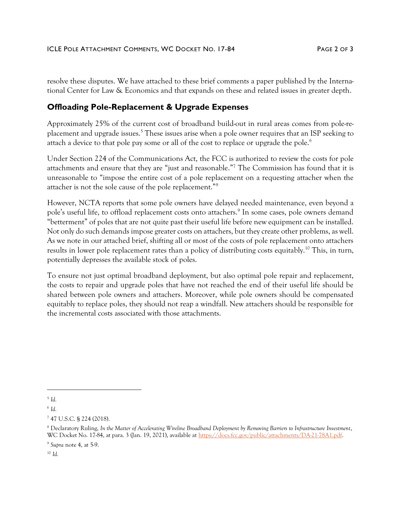resolve these disputes. We have attached to these brief comments a paper published by the International Center for Law & Economics and that expands on these and related issues in greater depth.

## **Offloading Pole-Replacement & Upgrade Expenses**

Approximately 25% of the current cost of broadband build-out in rural areas comes from pole-replacement and upgrade issues.<sup>5</sup> These issues arise when a pole owner requires that an ISP seeking to attach a device to that pole pay some or all of the cost to replace or upgrade the pole.<sup>6</sup>

Under Section 224 of the Communications Act, the FCC is authorized to review the costs for pole attachments and ensure that they are "just and reasonable." <sup>7</sup> The Commission has found that it is unreasonable to "impose the entire cost of a pole replacement on a requesting attacher when the attacher is not the sole cause of the pole replacement."<sup>8</sup>

However, NCTA reports that some pole owners have delayed needed maintenance, even beyond a pole's useful life, to offload replacement costs onto attachers.<sup>9</sup> In some cases, pole owners demand "betterment" of poles that are not quite past their useful life before new equipment can be installed. Not only do such demands impose greater costs on attachers, but they create other problems, as well. As we note in our attached brief, shifting all or most of the costs of pole replacement onto attachers results in lower pole replacement rates than a policy of distributing costs equitably.<sup>10</sup> This, in turn, potentially depresses the available stock of poles.

To ensure not just optimal broadband deployment, but also optimal pole repair and replacement, the costs to repair and upgrade poles that have not reached the end of their useful life should be shared between pole owners and attachers. Moreover, while pole owners should be compensated equitably to replace poles, they should not reap a windfall. New attachers should be responsible for the incremental costs associated with those attachments.

<sup>10</sup> *Id.*

<sup>5</sup> *Id.*

<sup>6</sup> *Id.*

<sup>7</sup> 47 U.S.C. § 224 (2018).

<sup>8</sup> Declaratory Ruling, *In the Matter of Accelerating Wireline Broadband Deployment by Removing Barriers to Infrastructure Investment*, WC Docket No. 17-84, at para. 3 (Jan. 19, 2021), available at [https://docs.fcc.gov/public/attachments/DA-21-78A1.pdf.](https://docs.fcc.gov/public/attachments/DA-21-78A1.pdf)

<sup>9</sup> *Supra* note 4, at 5-9.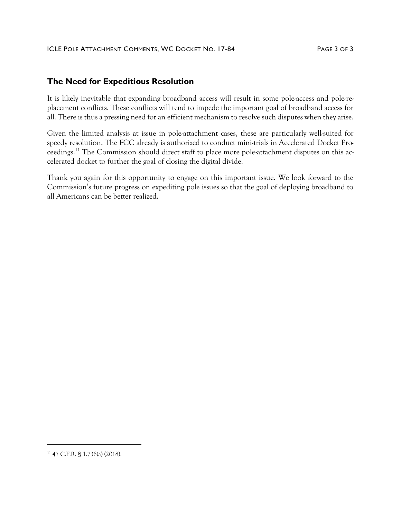### **The Need for Expeditious Resolution**

It is likely inevitable that expanding broadband access will result in some pole-access and pole-replacement conflicts. These conflicts will tend to impede the important goal of broadband access for all. There is thus a pressing need for an efficient mechanism to resolve such disputes when they arise.

Given the limited analysis at issue in pole-attachment cases, these are particularly well-suited for speedy resolution. The FCC already is authorized to conduct mini-trials in Accelerated Docket Proceedings.<sup>11</sup> The Commission should direct staff to place more pole-attachment disputes on this accelerated docket to further the goal of closing the digital divide.

Thank you again for this opportunity to engage on this important issue. We look forward to the Commission's future progress on expediting pole issues so that the goal of deploying broadband to all Americans can be better realized.

<sup>11</sup> 47 C.F.R. § 1.736(a) (2018).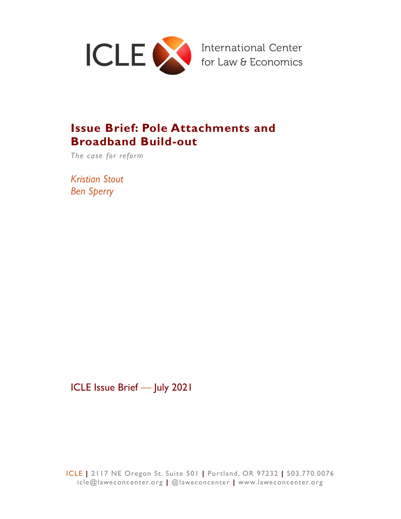

# **Issue Brief: Pole Attachments and Broadband Build-out**

*The case for reform*

*Kristian Stout Ben Sperry*

ICLE Issue Brief *—* July 2021

ICLE **|** 2117 NE Oregon St. Suite 501 **|** Portland, OR 97232 **|** 503.770.0076 icle@laweconcenter.org **|** @laweconcenter **|** www.laweconcenter.org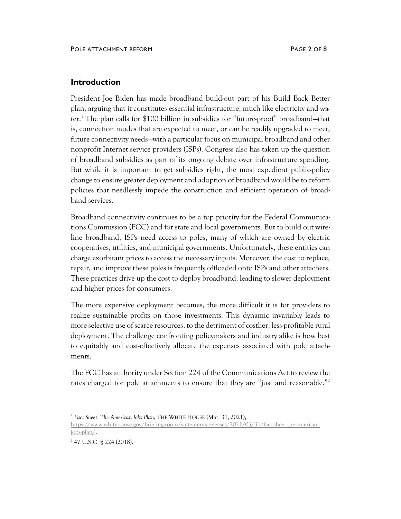### **Introduction**

President Joe Biden has made broadband build-out part of his Build Back Better plan, arguing that it constitutes essential infrastructure, much like electricity and water. <sup>1</sup> The plan calls for \$100 billion in subsidies for "future-proof" broadband—that is, connection modes that are expected to meet, or can be readily upgraded to meet, future connectivity needs—with a particular focus on municipal broadband and other nonprofit Internet service providers (ISPs). Congress also has taken up the question of broadband subsidies as part of its ongoing debate over infrastructure spending. But while it is important to [get subsidies right,](https://laweconcenter.org/wp-content/uploads/2021/06/tldr-BB-Competition-and-Competitors.pdf) the most expedient public-policy change to ensure greater deployment and adoption of broadband would be to reform policies that needlessly impede the construction and efficient operation of broadband services.

Broadband connectivity continues to be a top priority for the Federal Communications Commission (FCC) and for state and local governments. But to build out wireline broadband, ISPs need access to poles, many of which are owned by electric cooperatives, utilities, and municipal governments. Unfortunately, these entities can charge exorbitant prices to access the necessary inputs. Moreover, the cost to replace, repair, and improve these poles is frequently offloaded onto ISPs and other attachers. These practices drive up the cost to deploy broadband, leading to slower deployment and higher prices for consumers.

The more expensive deployment becomes, the more difficult it is for providers to realize sustainable profits on those investments. This dynamic invariably leads to more selective use of scarce resources, to the detriment of costlier, less-profitable rural deployment. The challenge confronting policymakers and industry alike is how best to equitably and cost-effectively allocate the expenses associated with pole attachments.

The FCC has authority under Section 224 of the Communications Act to review the rates charged for pole attachments to ensure that they are "just and reasonable."<sup>2</sup>

<sup>&</sup>lt;sup>1</sup> Fact Sheet: The American Jobs Plan, THE WHITE HOUSE (Mar. 31, 2021),

[https://www.whitehouse.gov/briefing-room/statements-releases/2021/03/31/fact-sheet-the-american](https://www.whitehouse.gov/briefing-room/statements-releases/2021/03/31/fact-sheet-the-american-jobs-plan/)[jobs-plan/.](https://www.whitehouse.gov/briefing-room/statements-releases/2021/03/31/fact-sheet-the-american-jobs-plan/)

<sup>&</sup>lt;sup>2</sup> 47 U.S.C. § 224 (2018).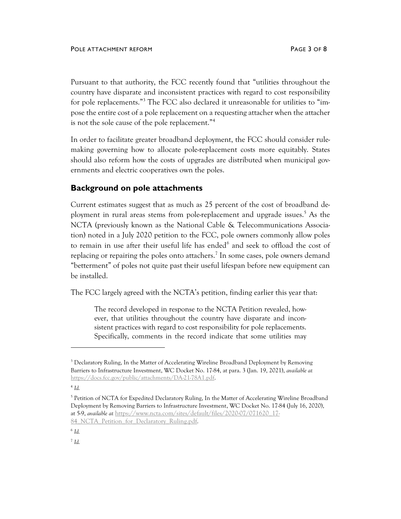Pursuant to that authority, the [FCC recently found](https://docs.fcc.gov/public/attachments/DA-21-78A1.pdf) that "utilities throughout the country have disparate and inconsistent practices with regard to cost responsibility for pole replacements."<sup>3</sup> The FCC also declared it unreasonable for utilities to "impose the entire cost of a pole replacement on a requesting attacher when the attacher is not the sole cause of the pole replacement."<sup>4</sup>

In order to facilitate greater broadband deployment, the FCC should consider rulemaking governing how to allocate pole-replacement costs more equitably. States should also reform how the costs of upgrades are distributed when municipal governments and electric cooperatives own the poles.

### **Background on pole attachments**

Current estimates suggest that as much as 25 percent of the cost of broadband deployment in rural areas stems from pole-replacement and upgrade issues.<sup>5</sup> As the NCTA (previously known as the National Cable & Telecommunications Association) noted in a July 2020 petition to the FCC, pole owners commonly allow poles to remain in use after their useful life has ended<sup>6</sup> and seek to offload the cost of replacing or repairing the poles onto attachers.<sup>7</sup> In some cases, pole owners demand "betterment" of poles not quite past their useful lifespan before new equipment can be installed.

The FCC largely agreed with the NCTA's petition, finding earlier this year that:

The record developed in response to the NCTA Petition revealed, however, that utilities throughout the country have disparate and inconsistent practices with regard to cost responsibility for pole replacements. Specifically, comments in the record indicate that some utilities may

4 *Id.*

<sup>&</sup>lt;sup>3</sup> Declaratory Ruling, In the Matter of Accelerating Wireline Broadband Deployment by Removing Barriers to Infrastructure Investment, WC Docket No. 17-84, at para. 3 (Jan. 19, 2021), *available at* [https://docs.fcc.gov/public/attachments/DA-21-78A1.pdf.](https://docs.fcc.gov/public/attachments/DA-21-78A1.pdf)

<sup>&</sup>lt;sup>5</sup> Petition of NCTA for Expedited Declaratory Ruling, In the Matter of Accelerating Wireline Broadband Deployment by Removing Barriers to Infrastructure Investment, WC Docket No. 17-84 (July 16, 2020), at 5-9, *available at* [https://www.ncta.com/sites/default/files/2020-07/071620\\_17-](https://www.ncta.com/sites/default/files/2020-07/071620_17-84_NCTA_Petition_for_Declaratory_Ruling.pdf)

<sup>84</sup> NCTA Petition for Declaratory Ruling.pdf.

<sup>6</sup> *Id.*

<sup>7</sup> *Id.*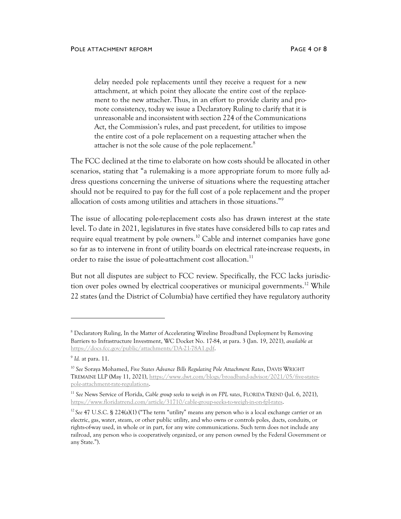delay needed pole replacements until they receive a request for a new attachment, at which point they allocate the entire cost of the replacement to the new attacher. Thus, in an effort to provide clarity and promote consistency, today we issue a Declaratory Ruling to clarify that it is unreasonable and inconsistent with section 224 of the Communications Act, the Commission's rules, and past precedent, for utilities to impose the entire cost of a pole replacement on a requesting attacher when the attacher is not the sole cause of the pole replacement.<sup>8</sup>

The FCC declined at the time to elaborate on how costs should be allocated in other scenarios, stating that "a rulemaking is a more appropriate forum to more fully address questions concerning the universe of situations where the requesting attacher should not be required to pay for the full cost of a pole replacement and the proper allocation of costs among utilities and attachers in those situations."<sup>9</sup>

The issue of allocating pole-replacement costs also has drawn interest at the state level. To date in 2021, legislatures in five states have considered bills to cap rates and require equal treatment by pole owners.<sup>10</sup> Cable and internet companies have gone so far as to intervene in front of utility boards on electrical rate-increase requests, in order to raise the issue of pole-attachment cost allocation.<sup>11</sup>

But not all disputes are subject to FCC review. Specifically, the FCC lacks jurisdiction over poles owned by electrical cooperatives or municipal governments.<sup>12</sup> While 22 states (and the District of Columbia) have certified they have regulatory authority

<sup>8</sup> Declaratory Ruling, In the Matter of Accelerating Wireline Broadband Deployment by Removing Barriers to Infrastructure Investment, WC Docket No. 17-84, at para. 3 (Jan. 19, 2021), *available at* [https://docs.fcc.gov/public/attachments/DA-21-78A1.pdf.](https://docs.fcc.gov/public/attachments/DA-21-78A1.pdf)

<sup>9</sup> *Id.* at para. 11.

<sup>10</sup> *See* Soraya Mohamed, *Five States Advance Bills Regulating Pole Attachment Rates*, DAVIS WRIGHT TREMAINE LLP (May 11, 2021), [https://www.dwt.com/blogs/broadband-advisor/2021/05/five-states](https://www.dwt.com/blogs/broadband-advisor/2021/05/five-states-pole-attachment-rate-regulations)[pole-attachment-rate-regulations.](https://www.dwt.com/blogs/broadband-advisor/2021/05/five-states-pole-attachment-rate-regulations) 

<sup>11</sup> *See* News Service of Florida, *Cable group seeks to weigh in on FPL rates*, FLORIDA TREND (Jul. 6, 2021), [https://www.floridatrend.com/article/31710/cable-group-seeks-to-weigh-in-on-fpl-rates.](https://www.floridatrend.com/article/31710/cable-group-seeks-to-weigh-in-on-fpl-rates) 

<sup>&</sup>lt;sup>12</sup> See 47 U.S.C. § 224(a)(1) ("The term "[utility](https://www.law.cornell.edu/definitions/uscode.php?width=840&height=800&iframe=true&def_id=47-USC-114978452-1212901405&term_occur=999&term_src=title:47:chapter:5:subchapter:II:part:I:section:224)" means any [person](https://www.law.cornell.edu/definitions/uscode.php?width=840&height=800&iframe=true&def_id=47-USC-991716523-1952898694&term_occur=999&term_src=) who is a [local exchange carrier](https://www.law.cornell.edu/definitions/uscode.php?width=840&height=800&iframe=true&def_id=47-USC-530548208-1952898687&term_occur=999&term_src=title:47:chapter:5:subchapter:II:part:I:section:224) or an electric, gas, water, steam, or other public [utility,](https://www.law.cornell.edu/definitions/uscode.php?width=840&height=800&iframe=true&def_id=47-USC-114978452-1212901405&term_occur=999&term_src=title:47:chapter:5:subchapter:II:part:I:section:224) and who owns or controls poles, ducts, conduits, or rights-of-way used, in whole or in part, for any [wire communications.](https://www.law.cornell.edu/definitions/uscode.php?width=840&height=800&iframe=true&def_id=47-USC-1510336379-1952898756&term_occur=999&term_src=title:47:chapter:5:subchapter:II:part:I:section:224) Such term does not include any railroad, any [person](https://www.law.cornell.edu/definitions/uscode.php?width=840&height=800&iframe=true&def_id=47-USC-991716523-1952898694&term_occur=999&term_src=) who is cooperatively organized, or any [person](https://www.law.cornell.edu/definitions/uscode.php?width=840&height=800&iframe=true&def_id=47-USC-991716523-1952898694&term_occur=999&term_src=) owned by the [Federal Government](https://www.law.cornell.edu/definitions/uscode.php?width=840&height=800&iframe=true&def_id=47-USC-2032561260-1212901406&term_occur=999&term_src=title:47:chapter:5:subchapter:II:part:I:section:224) or any [State.](https://www.law.cornell.edu/definitions/uscode.php?width=840&height=800&iframe=true&def_id=47-USC-80204913-1212901407&term_occur=999&term_src=title:47:chapter:5:subchapter:II:part:I:section:224)").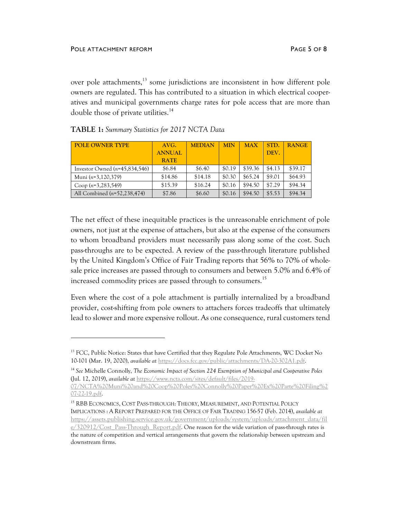over pole attachments,<sup>13</sup> some jurisdictions are inconsistent in how different pole owners are regulated. This has contributed to a situation in which electrical cooperatives and municipal governments charge rates for pole access that are more than double those of private utilities.<sup>14</sup>

| <b>POLE OWNER TYPE</b>          | AVG.          | <b>MEDIAN</b> | <b>MIN</b> | <b>MAX</b> | STD.   | <b>RANGE</b> |
|---------------------------------|---------------|---------------|------------|------------|--------|--------------|
|                                 | <b>ANNUAL</b> |               |            |            | DEV.   |              |
|                                 | <b>RATE</b>   |               |            |            |        |              |
| Investor Owned $(n=45,834,546)$ | \$6.84        | \$6.40        | \$0.19     | \$39.36    | \$4.13 | \$39.17      |
| Muni $(n=3,120,379)$            | \$14.86       | \$14.18       | \$0.30     | \$65.24    | \$9.01 | \$64.93      |
| Coop $(n=3,283,549)$            | \$15.39       | \$16.24       | \$0.16     | \$94.50    | \$7.29 | \$94.34      |
| All Combined $(n=52, 238, 474)$ | \$7.86        | \$6.60        | \$0.16     | \$94.50    | \$5.53 | \$94.34      |

The net effect of these inequitable practices is the unreasonable enrichment of pole owners, not just at the expense of attachers, but also at the expense of the consumers to whom broadband providers must necessarily pass along some of the cost. Such pass-throughs are to be expected. A review of the pass-through literature published by the United Kingdom's Office of Fair Trading reports that 56% to 70% of wholesale price increases are passed through to consumers and between 5.0% and 6.4% of increased commodity prices are passed through to consumers.<sup>15</sup>

Even where the cost of a pole attachment is partially internalized by a broadband provider, cost-shifting from pole owners to attachers forces tradeoffs that ultimately lead to slower and more expensive rollout. As one consequence, rural customers tend

<sup>&</sup>lt;sup>13</sup> FCC, Public Notice: States that have Certified that they Regulate Pole Attachments, WC Docket No 10-101 (Mar. 19, 2020), *available at* [https://docs.fcc.gov/public/attachments/DA-20-302A1.pdf.](https://docs.fcc.gov/public/attachments/DA-20-302A1.pdf) 

<sup>14</sup> *See* Michelle Connolly, *The Economic Impact of Section 224 Exemption of Municipal and Cooperative Poles* (Jul. 12, 2019), *available at* [https://www.ncta.com/sites/default/files/2019-](https://www.ncta.com/sites/default/files/2019-07/NCTA%20Muni%20and%20Coop%20Poles%20Connolly%20Paper%20Ex%20Parte%20Filing%207-22-19.pdf)

[<sup>07/</sup>NCTA%20Muni%20and%20Coop%20Poles%20Connolly%20Paper%20Ex%20Parte%20Filing%2](https://www.ncta.com/sites/default/files/2019-07/NCTA%20Muni%20and%20Coop%20Poles%20Connolly%20Paper%20Ex%20Parte%20Filing%207-22-19.pdf) [07-22-19.pdf.](https://www.ncta.com/sites/default/files/2019-07/NCTA%20Muni%20and%20Coop%20Poles%20Connolly%20Paper%20Ex%20Parte%20Filing%207-22-19.pdf)

<sup>15</sup> RBB ECONOMICS, COST PASS-THROUGH: THEORY, MEASUREMENT, AND POTENTIAL POLICY IMPLICATIONS : A REPORT PREPARED FOR THE OFFICE OF FAIR TRADING 156-57 (Feb. 2014), *available at* [https://assets.publishing.service.gov.uk/government/uploads/system/uploads/attachment\\_data/fil](https://assets.publishing.service.gov.uk/government/uploads/system/uploads/attachment_data/file/320912/Cost_Pass-Through_Report.pdf) e/320912/Cost Pass-Through Report.pdf. One reason for the wide variation of pass-through rates is the nature of competition and vertical arrangements that govern the relationship between upstream and downstream firms.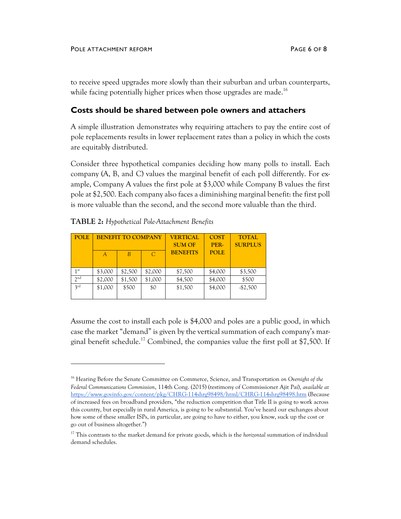to receive speed upgrades more slowly than their suburban and urban counterparts, while facing potentially higher prices when those upgrades are made.<sup>16</sup>

#### **Costs should be shared between pole owners and attachers**

A simple illustration demonstrates why requiring attachers to pay the entire cost of pole replacements results in lower replacement rates than a policy in which the costs are equitably distributed.

Consider three hypothetical companies deciding how many polls to install. Each company (A, B, and C) values the marginal benefit of each poll differently. For example, Company A values the first pole at \$3,000 while Company B values the first pole at \$2,500. Each company also faces a diminishing marginal benefit: the first poll is more valuable than the second, and the second more valuable than the third.

| <b>POLE</b>     | <b>BENEFIT TO COMPANY</b> |         | <b>VERTICAL</b><br><b>SUM OF</b> | <b>COST</b><br>PER- | <b>TOTAL</b><br><b>SURPLUS</b> |           |
|-----------------|---------------------------|---------|----------------------------------|---------------------|--------------------------------|-----------|
|                 | A                         | B       | $\mathcal{C}$                    | <b>BENEFITS</b>     | <b>POLE</b>                    |           |
| 1 <sup>st</sup> | \$3,000                   | \$2,500 | \$2,000                          | \$7,500             | \$4,000                        | \$3,500   |
| 2 <sub>nd</sub> | \$2,000                   | \$1,500 | \$1,000                          | \$4,500             | \$4,000                        | \$500     |
| 3rd             | \$1,000                   | \$500   | \$0                              | \$1,500             | \$4,000                        | $-$2,500$ |

**TABLE 2:** *Hypothetical Pole-Attachment Benefits*

Assume the cost to install each pole is \$4,000 and poles are a public good, in which case the market "demand" is given by the vertical summation of each company's marginal benefit schedule.<sup>17</sup> Combined, the companies value the first poll at \$7,500. If

<sup>16</sup> Hearing Before the Senate Committee on Commerce, Science, and Transportation *on Oversight of the Federal Communications Commission*, 114th Cong. (2015) (testimony of Commissioner Ajit Pai), *available at* <https://www.govinfo.gov/content/pkg/CHRG-114shrg98498/html/CHRG-114shrg98498.htm> (Because of increased fees on broadband providers, "the reduction competition that Title II is going to work across this country, but especially in rural America, is going to be substantial. You've heard our exchanges about how some of these smaller ISPs, in particular, are going to have to either, you know, suck up the cost or go out of business altogether.")

<sup>17</sup> This contrasts to the market demand for private goods, which is the *horizontal* summation of individual demand schedules.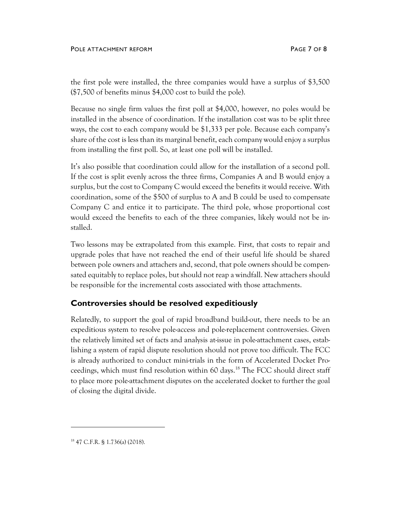#### POLE ATTACHMENT REFORM **PAGE 7 OF 8**

the first pole were installed, the three companies would have a surplus of \$3,500 (\$7,500 of benefits minus \$4,000 cost to build the pole).

Because no single firm values the first poll at \$4,000, however, no poles would be installed in the absence of coordination. If the installation cost was to be split three ways, the cost to each company would be \$1,333 per pole. Because each company's share of the cost is less than its marginal benefit, each company would enjoy a surplus from installing the first poll. So, at least one poll will be installed.

It's also possible that coordination could allow for the installation of a second poll. If the cost is split evenly across the three firms, Companies A and B would enjoy a surplus, but the cost to Company C would exceed the benefits it would receive. With coordination, some of the \$500 of surplus to A and B could be used to compensate Company C and entice it to participate. The third pole, whose proportional cost would exceed the benefits to each of the three companies, likely would not be installed.

Two lessons may be extrapolated from this example. First, that costs to repair and upgrade poles that have not reached the end of their useful life should be shared between pole owners and attachers and, second, that pole owners should be compensated equitably to replace poles, but should not reap a windfall. New attachers should be responsible for the incremental costs associated with those attachments.

### **Controversies should be resolved expeditiously**

Relatedly, to support the goal of rapid broadband build-out, there needs to be an expeditious system to resolve pole-access and pole-replacement controversies. Given the relatively limited set of facts and analysis at-issue in pole-attachment cases, establishing a system of rapid dispute resolution should not prove too difficult. The FCC is already authorized to conduct mini-trials in the form of Accelerated Docket Proceedings, which must find resolution within 60 days.<sup>18</sup> The FCC should direct staff to place more pole-attachment disputes on the accelerated docket to further the goal of closing the digital divide.

<sup>18</sup> 47 C.F.R. § 1.736(a) (2018).